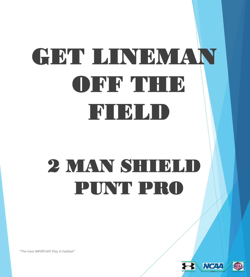# GET LINEMAN OFF THE FIELD

## 2 MAN SHIELD PUNT PRO



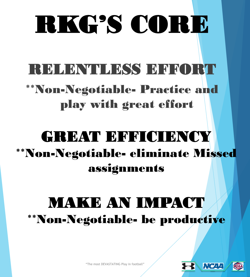# RKG'S CORE

### RELENTLESS EFFORT

### \*\*Non-Negotiable- Practice and play with great effort

### GREAT EFFICIENCY \*\*Non-Negotiable- eliminate Missed assignments

### MAKE AN IMPACT \*\*Non-Negotiable- be productive



"The most DEVASTATING Play in football"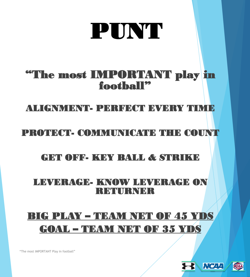## PUNT

### "The most IMPORTANT play in football"

#### ALIGNMENT- PERFECT BY SRY TIMES

#### PROTECT- COMMUNICATE THE COUNT

#### GET OFF- KEY BALL & STRIKE

#### LEVERAGE- KNOW LEVERAGE ON **RETURNER**

### BIG PLAY – TEAM NET OF 45 YDS GOAL – TEAM NET OF 35 YDS

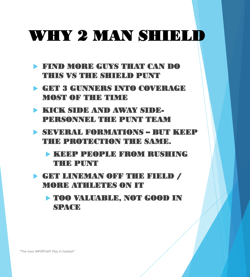### WHY 2 MAN SHIELD

- FIND MORE GUYS THAT CAN DO THIS VS THE SHIELD PUNT
- GET 3 GUNNERS INTO COVERAGE MOST OF THE TIME
- KICK SIDE AND AWAY SIDE-PERSONNEL THE PUNT TEAM
- **SEVERAL FORMATIONS BUT KEEP** THE PROTECTION THE SAME.
	- KEEP PEOPLE FROM RUSHING THE PUNT
- **EET LINEMAN OFF THE FIELD /** MORE ATHLETES ON IT
	- TOO VALUABLE, NOT GOOD IN **SPACE**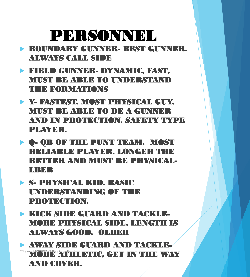### PERSONNEL

- BOUNDARY GUNNER- BEST GUNNER. ALWAYS CALL SIDE
- FIELD GUNNER- DYNAMIC, FAST, MUST BE ABLE TO UNDERSTAND THE FORMATIONS
- Y- FASTEST, MOST PHYSICAL GUY. MUST BE ABLE TO BE A GUNNER AND IN PROTECTION. SAFETY TYPE PLAYER.
- Q- QB OF THE PUNT TEAM. MOST RELIABLE PLAYER. LONGER THE BETTER AND MUST BE PHYSICAL-**LEBBER**
- S- PHYSICAL KID. BASIC UNDERSTANDING OF THE PROTECTION.
- KICK SIDE GUARD AND TACKLE-MORE PHYSICAL SIDE, LENGTH IS ALWAYS GOOD. OLBER

 AWAY SIDE GUARD AND TACKLE-"The most IMPORTANT PLAY IN THE WAY AND COVER.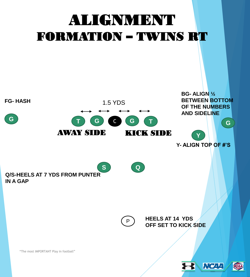### ALIGNMENT FORMATION – TWINS RT

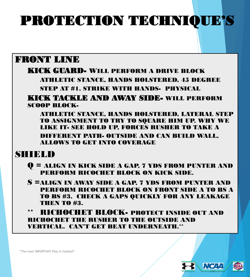### PROTECTION TECHNIQUE'S

#### FRONT LINE

#### KICK GUARD- WILL PERFORM A DRIVE BLOCK

ATHLETIC STANCE, HANDS HOLSTERED, 45 DEGREE

STEP AT #1. STRIKE WITH HANDS- PHYSICAL

#### KICK TACKLE AND AWAY SIDE- WILL PERFORM SCOOP BLOCK-

ATHLETIC STANCE, HANDS HOLSTERED, LATERAL STEP TO ASSIGNMENT TO TRY TO SQUARE HIM UP. WHY WE LIKE IT- SEE HOLD UP, FORCES RUSHER TO TAKE A DIFFERENT PATH- OUTSIDE AND CAN BUILD WALL, ALLOWS TO GET INTO COVERAGE

#### SHIELD

- Q = ALIGN IN KICK SIDE A GAP, 7 YDS FROM PUNTER AND PERFORM RICOCHET BLOCK ON KICK SIDE.
- S =ALIGN IN AWAY SIDE A GAP, 7 YDS FROM PUNTER AND PERFORM RICOCHET BLOCK ON FRONT SIDE A TO BS A TO BS #3. CHECK A GAPS QUICKLY FOR ANY LEAKAGE THEN TO #3.
- \*\* RICHOCHET BLOCK- PROTECT INSIDE OUT AND RICHOCHET THE RUSHER TO THE OUTSIDE AND VERTICAL. CAN'T GET BEAT UNDERNEATH.\*\*



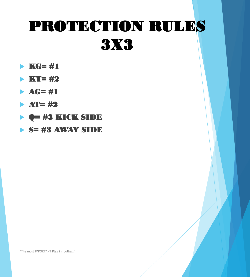### PROTECTION RULES 3X3

- $\blacktriangleright$  KG= #1
- $\blacktriangleright$  KT= #2
- $\blacktriangleright$  AG= #1
- $\blacktriangleright$  AT= #2
- Q= #3 KICK SIDE
- $\triangleright$  S= #3 AWAY SIDE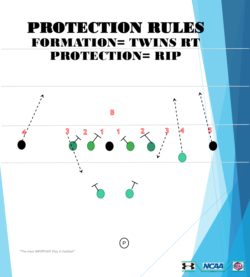### PROTECTION RULES FORMATION= TWINS RT PROTECTION= RIP

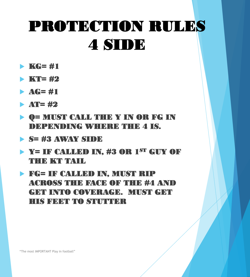### PROTECTION RULES 4 SIDE

- $\blacktriangleright$  KG= #1
- $\blacktriangleright$  KT= #2
- $\blacktriangleright$  AG= #1
- $\blacktriangleright$  AT= #2
- Q= MUST CALL THE Y IN OR FG IN DEPENDING WHERE THE 4 IS.
- S= #3 AWAY SIDE
- Y= IF CALLED IN, #3 OR 1ST GUY OF THE KT TAIL

 FG= IF CALLED IN, MUST RIP ACROSS THE FACE OF THE #4 AND GET INTO COVERAGE. MUST GET HIS FEET TO STUTTER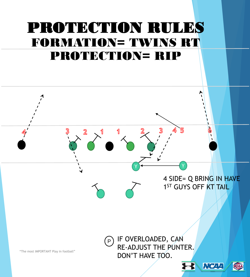### PROTECTION RULES FORMATION= TWINS RT PROTECTION= RIP

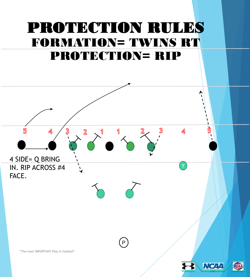### PROTECTION RULES FORMATION= TWINS RT PROTECTION= RIP

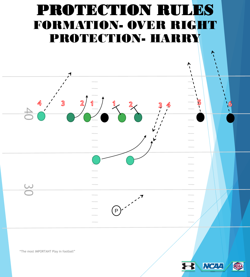### PROTECTION RULES FORMATION- OVER RIGHT PROTECTION- HARRY





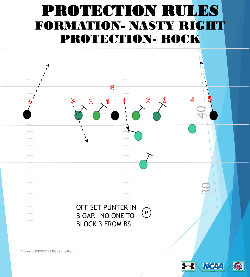### PROTECTION RULES FORMATION- NASTY RIGHT PROTECTION- ROCK

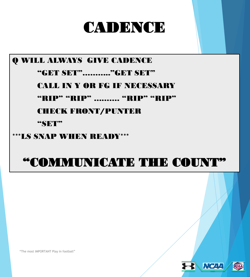### **CADENCE**

#### Q WILL ALWAYS GIVE CADENCE

#### "GET SET"……….."GET SET"

#### CALL IN Y OR FG IF NECESSARY

#### "RIP" "RIP" .......... "RIP" "RIP"

#### CHECK FRONT/PUNTER

#### **"SET"**

#### \*\*\*LS SNAP WHEN READY\*\*\*

#### "COMMUNICATE THE COUNT"